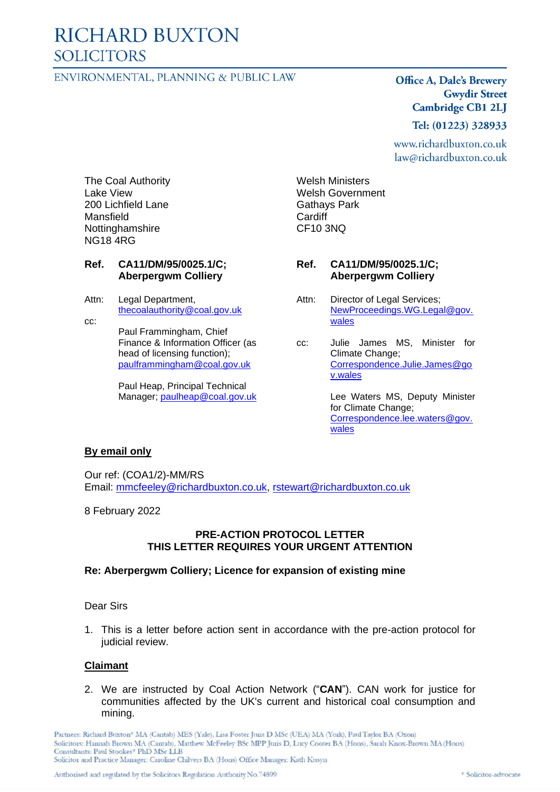# **RICHARD BUXTON SOLICITORS**

# ENVIRONMENTAL, PLANNING & PUBLIC LAW

# **Office A, Dale's Brewery Gwydir Street Cambridge CB1 2LJ**

#### Tel: (01223) 328933

www.richardbuxton.co.uk law@richardbuxton.co.uk

The Coal Authority Lake View 200 Lichfield Lane Mansfield Nottinghamshire NG18 4RG

#### **Ref. CA11/DM/95/0025.1/C; Aberpergwm Colliery**

- Attn: Legal Department, [thecoalauthority@coal.gov.uk](mailto:thecoalauthority@coal.gov.uk)
- cc: Paul Frammingham, Chief Finance & Information Officer (as head of licensing function); [paulframmingham@coal.gov.uk](mailto:paulframmingham@coal.gov.uk)

Paul Heap, Principal Technical Manager; [paulheap@coal.gov.uk](mailto:paulheap@coal.gov.uk) Welsh Ministers Welsh Government Gathays Park **Cardiff** CF10 3NQ

#### **Ref. CA11/DM/95/0025.1/C; Aberpergwm Colliery**

- Attn: Director of Legal Services; [NewProceedings.WG.Legal@gov.](mailto:NewProceedings.WG.Legal@gov.wales) [wales](mailto:NewProceedings.WG.Legal@gov.wales)
- cc: Julie James MS, Minister for Climate Change; [Correspondence.Julie.James@go](mailto:Correspondence.Julie.James@gov.wales) [v.wales](mailto:Correspondence.Julie.James@gov.wales)

Lee Waters MS, Deputy Minister for Climate Change; [Correspondence.lee.waters@gov.](mailto:Correspondence.lee.waters@gov.wales) [wales](mailto:Correspondence.lee.waters@gov.wales)

#### **By email only**

Our ref: (COA1/2)-MM/RS Email: [mmcfeeley@richardbuxton.co.uk,](mailto:mmcfeeley@richardbuxton.co.uk) [rstewart@richardbuxton.co.uk](mailto:rstewart@richardbuxton.co.uk)

#### 8 February 2022

# **PRE-ACTION PROTOCOL LETTER THIS LETTER REQUIRES YOUR URGENT ATTENTION**

#### **Re: Aberpergwm Colliery; Licence for expansion of existing mine**

#### Dear Sirs

1. This is a letter before action sent in accordance with the pre-action protocol for judicial review.

#### **Claimant**

2. We are instructed by Coal Action Network ("**CAN**"). CAN work for justice for communities affected by the UK's current and historical coal consumption and mining.

Partners: Richard Buxton\* MA (Cantab) MES (Yale), Lisa Foster Juris D MSc (UEA) MA (York), Paul Taylor BA (Oxon) Solicitors: Hannah Brown MA (Cantab), Matthew McFeeley BSc MPP Junis D, Lucy Cooter BA (Hons), Sarah Knox-Brown MA (Hons) Consultants: Paul Stookes\* PhD MSc LLB Solicitor and Practice Manager: Caroline Chilvers BA (Hons) Office Manager: Kath Kusyn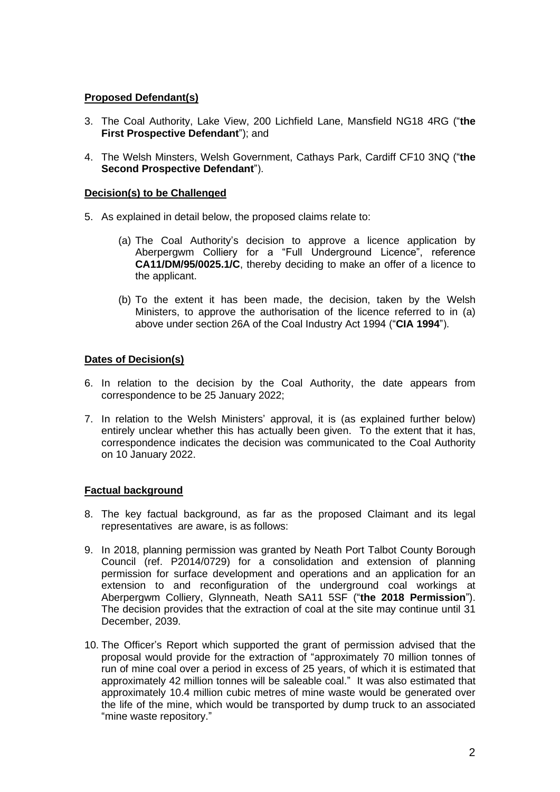# **Proposed Defendant(s)**

- 3. The Coal Authority, Lake View, 200 Lichfield Lane, Mansfield NG18 4RG ("**the First Prospective Defendant**"); and
- 4. The Welsh Minsters, Welsh Government, Cathays Park, Cardiff CF10 3NQ ("**the Second Prospective Defendant**").

# **Decision(s) to be Challenged**

- 5. As explained in detail below, the proposed claims relate to:
	- (a) The Coal Authority's decision to approve a licence application by Aberpergwm Colliery for a "Full Underground Licence", reference **CA11/DM/95/0025.1/C**, thereby deciding to make an offer of a licence to the applicant.
	- (b) To the extent it has been made, the decision, taken by the Welsh Ministers, to approve the authorisation of the licence referred to in (a) above under section 26A of the Coal Industry Act 1994 ("**CIA 1994**").

# **Dates of Decision(s)**

- 6. In relation to the decision by the Coal Authority, the date appears from correspondence to be 25 January 2022;
- 7. In relation to the Welsh Ministers' approval, it is (as explained further below) entirely unclear whether this has actually been given. To the extent that it has, correspondence indicates the decision was communicated to the Coal Authority on 10 January 2022.

# **Factual background**

- 8. The key factual background, as far as the proposed Claimant and its legal representatives are aware, is as follows:
- 9. In 2018, planning permission was granted by Neath Port Talbot County Borough Council (ref. P2014/0729) for a consolidation and extension of planning permission for surface development and operations and an application for an extension to and reconfiguration of the underground coal workings at Aberpergwm Colliery, Glynneath, Neath SA11 5SF ("**the 2018 Permission**"). The decision provides that the extraction of coal at the site may continue until 31 December, 2039.
- 10. The Officer's Report which supported the grant of permission advised that the proposal would provide for the extraction of "approximately 70 million tonnes of run of mine coal over a period in excess of 25 years, of which it is estimated that approximately 42 million tonnes will be saleable coal." It was also estimated that approximately 10.4 million cubic metres of mine waste would be generated over the life of the mine, which would be transported by dump truck to an associated "mine waste repository."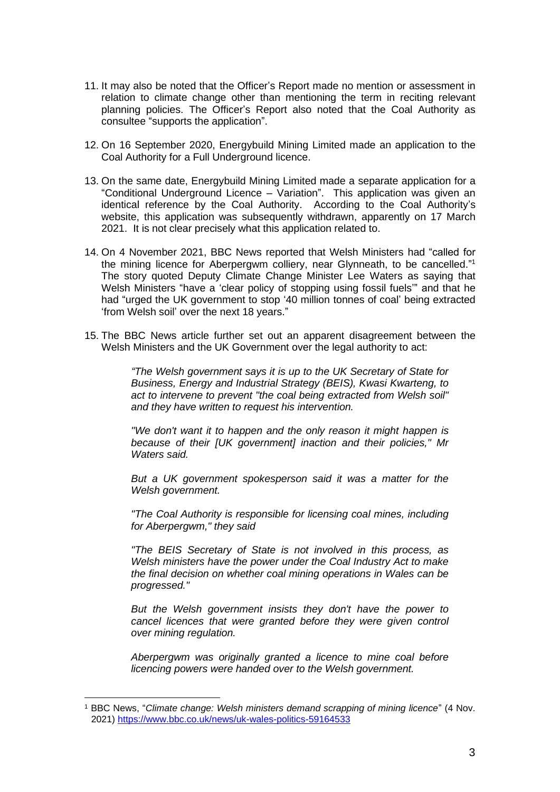- 11. It may also be noted that the Officer's Report made no mention or assessment in relation to climate change other than mentioning the term in reciting relevant planning policies. The Officer's Report also noted that the Coal Authority as consultee "supports the application".
- 12. On 16 September 2020, Energybuild Mining Limited made an application to the Coal Authority for a Full Underground licence.
- 13. On the same date, Energybuild Mining Limited made a separate application for a "Conditional Underground Licence – Variation". This application was given an identical reference by the Coal Authority. According to the Coal Authority's website, this application was subsequently withdrawn, apparently on 17 March 2021. It is not clear precisely what this application related to.
- 14. On 4 November 2021, BBC News reported that Welsh Ministers had "called for the mining licence for Aberpergwm colliery, near Glynneath, to be cancelled." 1 The story quoted Deputy Climate Change Minister Lee Waters as saying that Welsh Ministers "have a 'clear policy of stopping using fossil fuels'" and that he had "urged the UK government to stop '40 million tonnes of coal' being extracted 'from Welsh soil' over the next 18 years."
- 15. The BBC News article further set out an apparent disagreement between the Welsh Ministers and the UK Government over the legal authority to act:

*"The Welsh government says it is up to the UK Secretary of State for Business, Energy and Industrial Strategy (BEIS), Kwasi Kwarteng, to act to intervene to prevent "the coal being extracted from Welsh soil" and they have written to request his intervention.*

*"We don't want it to happen and the only reason it might happen is because of their [UK government] inaction and their policies," Mr Waters said.*

*But a UK government spokesperson said it was a matter for the Welsh government.*

*"The Coal Authority is responsible for licensing coal mines, including for Aberpergwm," they said*

*"The BEIS Secretary of State is not involved in this process, as Welsh ministers have the power under the Coal Industry Act to make the final decision on whether coal mining operations in Wales can be progressed."*

*But the Welsh government insists they don't have the power to cancel licences that were granted before they were given control over mining regulation.*

*Aberpergwm was originally granted a licence to mine coal before licencing powers were handed over to the Welsh government.*

<sup>1</sup> BBC News, "*Climate change: Welsh ministers demand scrapping of mining licence*" (4 Nov. 2021) <https://www.bbc.co.uk/news/uk-wales-politics-59164533>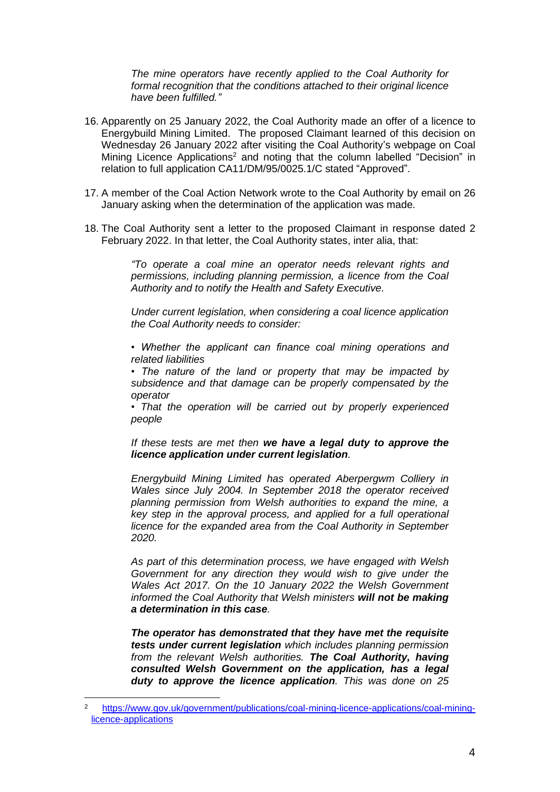*The mine operators have recently applied to the Coal Authority for formal recognition that the conditions attached to their original licence have been fulfilled."*

- 16. Apparently on 25 January 2022, the Coal Authority made an offer of a licence to Energybuild Mining Limited. The proposed Claimant learned of this decision on Wednesday 26 January 2022 after visiting the Coal Authority's webpage on Coal Mining Licence Applications<sup>2</sup> and noting that the column labelled "Decision" in relation to full application CA11/DM/95/0025.1/C stated "Approved".
- 17. A member of the Coal Action Network wrote to the Coal Authority by email on 26 January asking when the determination of the application was made.
- 18. The Coal Authority sent a letter to the proposed Claimant in response dated 2 February 2022. In that letter, the Coal Authority states, inter alia, that:

*"To operate a coal mine an operator needs relevant rights and permissions, including planning permission, a licence from the Coal Authority and to notify the Health and Safety Executive.*

*Under current legislation, when considering a coal licence application the Coal Authority needs to consider:*

*• Whether the applicant can finance coal mining operations and related liabilities*

*• The nature of the land or property that may be impacted by subsidence and that damage can be properly compensated by the operator*

*• That the operation will be carried out by properly experienced people*

*If these tests are met then we have a legal duty to approve the licence application under current legislation.*

*Energybuild Mining Limited has operated Aberpergwm Colliery in Wales since July 2004. In September 2018 the operator received planning permission from Welsh authorities to expand the mine, a key step in the approval process, and applied for a full operational licence for the expanded area from the Coal Authority in September 2020.*

*As part of this determination process, we have engaged with Welsh Government for any direction they would wish to give under the Wales Act 2017. On the 10 January 2022 the Welsh Government informed the Coal Authority that Welsh ministers will not be making a determination in this case.*

*The operator has demonstrated that they have met the requisite tests under current legislation which includes planning permission from the relevant Welsh authorities. The Coal Authority, having consulted Welsh Government on the application, has a legal duty to approve the licence application. This was done on 25* 

<sup>2</sup> [https://www.gov.uk/government/publications/coal-mining-licence-applications/coal-mining](https://www.gov.uk/government/publications/coal-mining-licence-applications/coal-mining-licence-applications)[licence-applications](https://www.gov.uk/government/publications/coal-mining-licence-applications/coal-mining-licence-applications)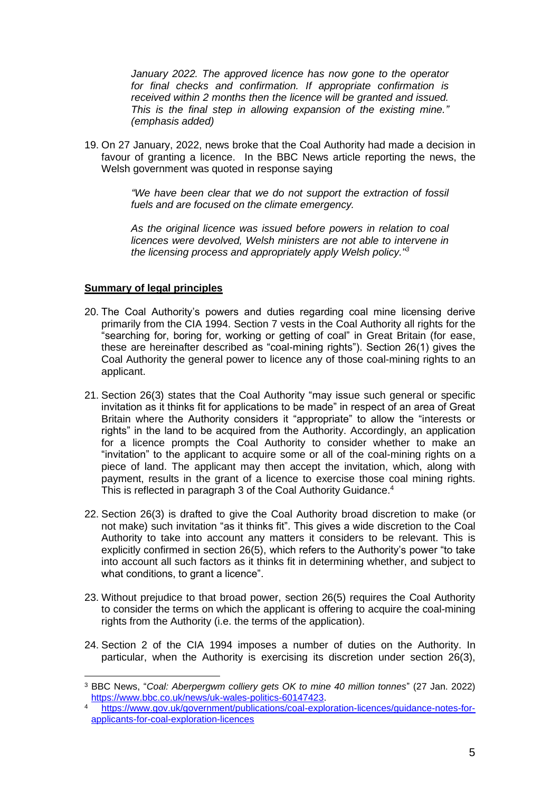*January 2022. The approved licence has now gone to the operator for final checks and confirmation. If appropriate confirmation is received within 2 months then the licence will be granted and issued. This is the final step in allowing expansion of the existing mine." (emphasis added)*

19. On 27 January, 2022, news broke that the Coal Authority had made a decision in favour of granting a licence. In the BBC News article reporting the news, the Welsh government was quoted in response saying

> *"We have been clear that we do not support the extraction of fossil fuels and are focused on the climate emergency.*

> *As the original licence was issued before powers in relation to coal licences were devolved, Welsh ministers are not able to intervene in the licensing process and appropriately apply Welsh policy."<sup>3</sup>*

## **Summary of legal principles**

- 20. The Coal Authority's powers and duties regarding coal mine licensing derive primarily from the CIA 1994. Section 7 vests in the Coal Authority all rights for the "searching for, boring for, working or getting of coal" in Great Britain (for ease, these are hereinafter described as "coal-mining rights"). Section 26(1) gives the Coal Authority the general power to licence any of those coal-mining rights to an applicant.
- 21. Section 26(3) states that the Coal Authority "may issue such general or specific invitation as it thinks fit for applications to be made" in respect of an area of Great Britain where the Authority considers it "appropriate" to allow the "interests or rights" in the land to be acquired from the Authority. Accordingly, an application for a licence prompts the Coal Authority to consider whether to make an "invitation" to the applicant to acquire some or all of the coal-mining rights on a piece of land. The applicant may then accept the invitation, which, along with payment, results in the grant of a licence to exercise those coal mining rights. This is reflected in paragraph 3 of the Coal Authority Guidance.<sup>4</sup>
- 22. Section 26(3) is drafted to give the Coal Authority broad discretion to make (or not make) such invitation "as it thinks fit". This gives a wide discretion to the Coal Authority to take into account any matters it considers to be relevant. This is explicitly confirmed in section 26(5), which refers to the Authority's power "to take into account all such factors as it thinks fit in determining whether, and subject to what conditions, to grant a licence".
- 23. Without prejudice to that broad power, section 26(5) requires the Coal Authority to consider the terms on which the applicant is offering to acquire the coal-mining rights from the Authority (i.e. the terms of the application).
- 24. Section 2 of the CIA 1994 imposes a number of duties on the Authority. In particular, when the Authority is exercising its discretion under section 26(3),

<sup>3</sup> BBC News, "*Coal: Aberpergwm colliery gets OK to mine 40 million tonnes*" (27 Jan. 2022) [https://www.bbc.co.uk/news/uk-wales-politics-60147423.](https://www.bbc.co.uk/news/uk-wales-politics-60147423)

<sup>4</sup> [https://www.gov.uk/government/publications/coal-exploration-licences/guidance-notes-for](https://www.gov.uk/government/publications/coal-exploration-licences/guidance-notes-for-applicants-for-coal-exploration-licences)[applicants-for-coal-exploration-licences](https://www.gov.uk/government/publications/coal-exploration-licences/guidance-notes-for-applicants-for-coal-exploration-licences)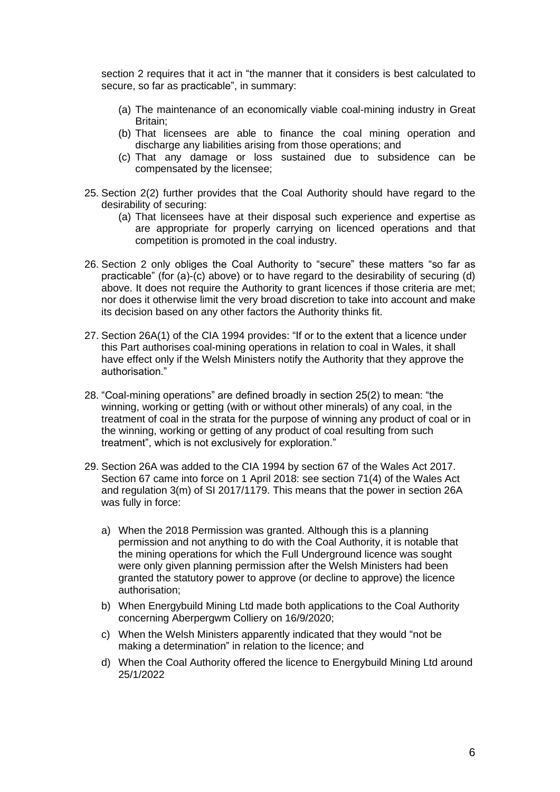section 2 requires that it act in "the manner that it considers is best calculated to secure, so far as practicable", in summary:

- (a) The maintenance of an economically viable coal-mining industry in Great Britain;
- (b) That licensees are able to finance the coal mining operation and discharge any liabilities arising from those operations; and
- (c) That any damage or loss sustained due to subsidence can be compensated by the licensee;
- 25. Section 2(2) further provides that the Coal Authority should have regard to the desirability of securing:
	- (a) That licensees have at their disposal such experience and expertise as are appropriate for properly carrying on licenced operations and that competition is promoted in the coal industry.
- 26. Section 2 only obliges the Coal Authority to "secure" these matters "so far as practicable" (for (a)-(c) above) or to have regard to the desirability of securing (d) above. It does not require the Authority to grant licences if those criteria are met; nor does it otherwise limit the very broad discretion to take into account and make its decision based on any other factors the Authority thinks fit.
- 27. Section 26A(1) of the CIA 1994 provides: "If or to the extent that a licence under this Part authorises coal-mining operations in relation to coal in Wales, it shall have effect only if the Welsh Ministers notify the Authority that they approve the authorisation."
- 28. "Coal-mining operations" are defined broadly in section 25(2) to mean: "the winning, working or getting (with or without other minerals) of any coal, in the treatment of coal in the strata for the purpose of winning any product of coal or in the winning, working or getting of any product of coal resulting from such treatment", which is not exclusively for exploration."
- 29. Section 26A was added to the CIA 1994 by section 67 of the Wales Act 2017. Section 67 came into force on 1 April 2018: see section 71(4) of the Wales Act and regulation 3(m) of SI 2017/1179. This means that the power in section 26A was fully in force:
	- a) When the 2018 Permission was granted. Although this is a planning permission and not anything to do with the Coal Authority, it is notable that the mining operations for which the Full Underground licence was sought were only given planning permission after the Welsh Ministers had been granted the statutory power to approve (or decline to approve) the licence authorisation;
	- b) When Energybuild Mining Ltd made both applications to the Coal Authority concerning Aberpergwm Colliery on 16/9/2020;
	- c) When the Welsh Ministers apparently indicated that they would "not be making a determination" in relation to the licence; and
	- d) When the Coal Authority offered the licence to Energybuild Mining Ltd around 25/1/2022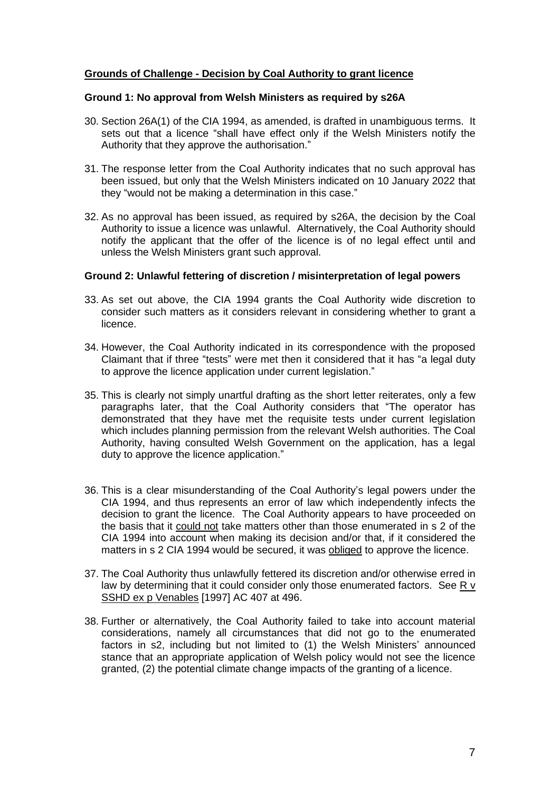## **Grounds of Challenge - Decision by Coal Authority to grant licence**

#### **Ground 1: No approval from Welsh Ministers as required by s26A**

- 30. Section 26A(1) of the CIA 1994, as amended, is drafted in unambiguous terms. It sets out that a licence "shall have effect only if the Welsh Ministers notify the Authority that they approve the authorisation."
- 31. The response letter from the Coal Authority indicates that no such approval has been issued, but only that the Welsh Ministers indicated on 10 January 2022 that they "would not be making a determination in this case."
- 32. As no approval has been issued, as required by s26A, the decision by the Coal Authority to issue a licence was unlawful. Alternatively, the Coal Authority should notify the applicant that the offer of the licence is of no legal effect until and unless the Welsh Ministers grant such approval.

#### **Ground 2: Unlawful fettering of discretion / misinterpretation of legal powers**

- 33. As set out above, the CIA 1994 grants the Coal Authority wide discretion to consider such matters as it considers relevant in considering whether to grant a licence.
- 34. However, the Coal Authority indicated in its correspondence with the proposed Claimant that if three "tests" were met then it considered that it has "a legal duty to approve the licence application under current legislation."
- 35. This is clearly not simply unartful drafting as the short letter reiterates, only a few paragraphs later, that the Coal Authority considers that "The operator has demonstrated that they have met the requisite tests under current legislation which includes planning permission from the relevant Welsh authorities. The Coal Authority, having consulted Welsh Government on the application, has a legal duty to approve the licence application."
- 36. This is a clear misunderstanding of the Coal Authority's legal powers under the CIA 1994, and thus represents an error of law which independently infects the decision to grant the licence. The Coal Authority appears to have proceeded on the basis that it could not take matters other than those enumerated in s 2 of the CIA 1994 into account when making its decision and/or that, if it considered the matters in s 2 CIA 1994 would be secured, it was obliged to approve the licence.
- 37. The Coal Authority thus unlawfully fettered its discretion and/or otherwise erred in law by determining that it could consider only those enumerated factors. See R v SSHD ex p Venables [1997] AC 407 at 496.
- 38. Further or alternatively, the Coal Authority failed to take into account material considerations, namely all circumstances that did not go to the enumerated factors in s2, including but not limited to (1) the Welsh Ministers' announced stance that an appropriate application of Welsh policy would not see the licence granted, (2) the potential climate change impacts of the granting of a licence.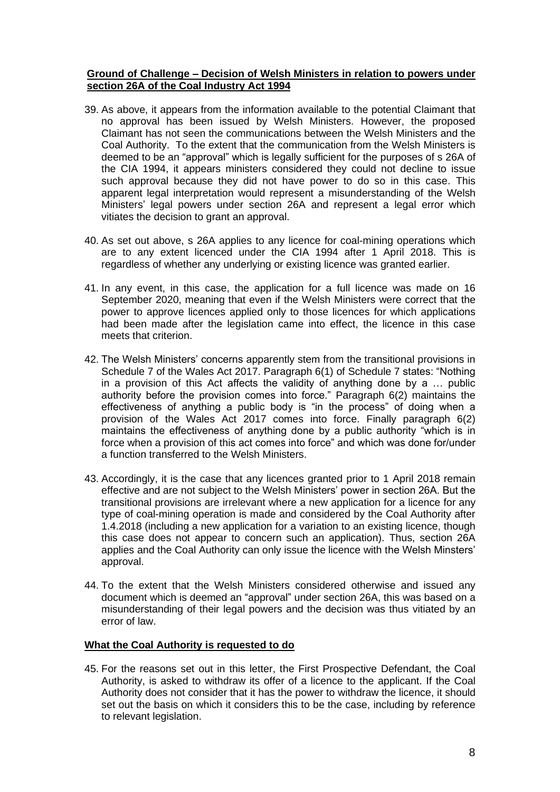# **Ground of Challenge – Decision of Welsh Ministers in relation to powers under section 26A of the Coal Industry Act 1994**

- 39. As above, it appears from the information available to the potential Claimant that no approval has been issued by Welsh Ministers. However, the proposed Claimant has not seen the communications between the Welsh Ministers and the Coal Authority. To the extent that the communication from the Welsh Ministers is deemed to be an "approval" which is legally sufficient for the purposes of s 26A of the CIA 1994, it appears ministers considered they could not decline to issue such approval because they did not have power to do so in this case. This apparent legal interpretation would represent a misunderstanding of the Welsh Ministers' legal powers under section 26A and represent a legal error which vitiates the decision to grant an approval.
- 40. As set out above, s 26A applies to any licence for coal-mining operations which are to any extent licenced under the CIA 1994 after 1 April 2018. This is regardless of whether any underlying or existing licence was granted earlier.
- 41. In any event, in this case, the application for a full licence was made on 16 September 2020, meaning that even if the Welsh Ministers were correct that the power to approve licences applied only to those licences for which applications had been made after the legislation came into effect, the licence in this case meets that criterion.
- 42. The Welsh Ministers' concerns apparently stem from the transitional provisions in Schedule 7 of the Wales Act 2017. Paragraph 6(1) of Schedule 7 states: "Nothing in a provision of this Act affects the validity of anything done by a … public authority before the provision comes into force." Paragraph 6(2) maintains the effectiveness of anything a public body is "in the process" of doing when a provision of the Wales Act 2017 comes into force. Finally paragraph 6(2) maintains the effectiveness of anything done by a public authority "which is in force when a provision of this act comes into force" and which was done for/under a function transferred to the Welsh Ministers.
- 43. Accordingly, it is the case that any licences granted prior to 1 April 2018 remain effective and are not subject to the Welsh Ministers' power in section 26A. But the transitional provisions are irrelevant where a new application for a licence for any type of coal-mining operation is made and considered by the Coal Authority after 1.4.2018 (including a new application for a variation to an existing licence, though this case does not appear to concern such an application). Thus, section 26A applies and the Coal Authority can only issue the licence with the Welsh Minsters' approval.
- 44. To the extent that the Welsh Ministers considered otherwise and issued any document which is deemed an "approval" under section 26A, this was based on a misunderstanding of their legal powers and the decision was thus vitiated by an error of law.

# **What the Coal Authority is requested to do**

45. For the reasons set out in this letter, the First Prospective Defendant, the Coal Authority, is asked to withdraw its offer of a licence to the applicant. If the Coal Authority does not consider that it has the power to withdraw the licence, it should set out the basis on which it considers this to be the case, including by reference to relevant legislation.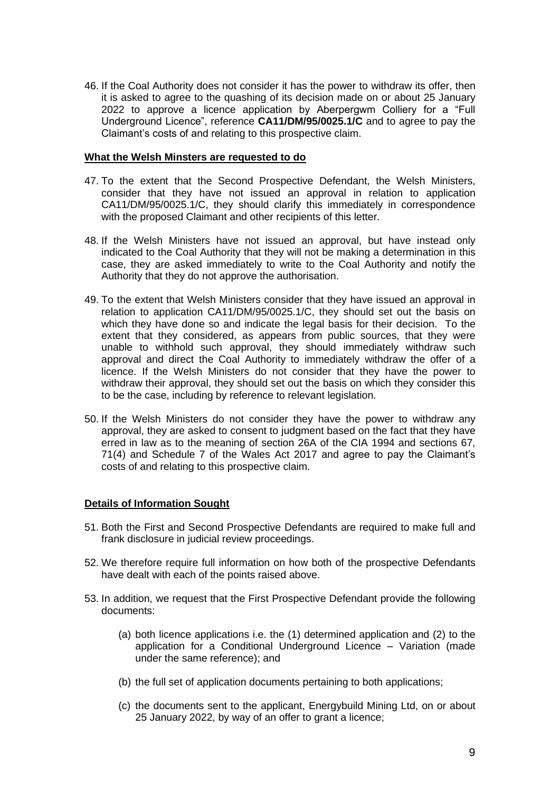46. If the Coal Authority does not consider it has the power to withdraw its offer, then it is asked to agree to the quashing of its decision made on or about 25 January 2022 to approve a licence application by Aberpergwm Colliery for a "Full Underground Licence", reference **CA11/DM/95/0025.1/C** and to agree to pay the Claimant's costs of and relating to this prospective claim.

#### **What the Welsh Minsters are requested to do**

- 47. To the extent that the Second Prospective Defendant, the Welsh Ministers, consider that they have not issued an approval in relation to application CA11/DM/95/0025.1/C, they should clarify this immediately in correspondence with the proposed Claimant and other recipients of this letter.
- 48. If the Welsh Ministers have not issued an approval, but have instead only indicated to the Coal Authority that they will not be making a determination in this case, they are asked immediately to write to the Coal Authority and notify the Authority that they do not approve the authorisation.
- 49. To the extent that Welsh Ministers consider that they have issued an approval in relation to application CA11/DM/95/0025.1/C, they should set out the basis on which they have done so and indicate the legal basis for their decision. To the extent that they considered, as appears from public sources, that they were unable to withhold such approval, they should immediately withdraw such approval and direct the Coal Authority to immediately withdraw the offer of a licence. If the Welsh Ministers do not consider that they have the power to withdraw their approval, they should set out the basis on which they consider this to be the case, including by reference to relevant legislation*.*
- 50. If the Welsh Ministers do not consider they have the power to withdraw any approval, they are asked to consent to judgment based on the fact that they have erred in law as to the meaning of section 26A of the CIA 1994 and sections 67, 71(4) and Schedule 7 of the Wales Act 2017 and agree to pay the Claimant's costs of and relating to this prospective claim.

# **Details of Information Sought**

- 51. Both the First and Second Prospective Defendants are required to make full and frank disclosure in judicial review proceedings.
- 52. We therefore require full information on how both of the prospective Defendants have dealt with each of the points raised above.
- 53. In addition, we request that the First Prospective Defendant provide the following documents:
	- (a) both licence applications i.e. the (1) determined application and (2) to the application for a Conditional Underground Licence – Variation (made under the same reference); and
	- (b) the full set of application documents pertaining to both applications;
	- (c) the documents sent to the applicant, Energybuild Mining Ltd, on or about 25 January 2022, by way of an offer to grant a licence;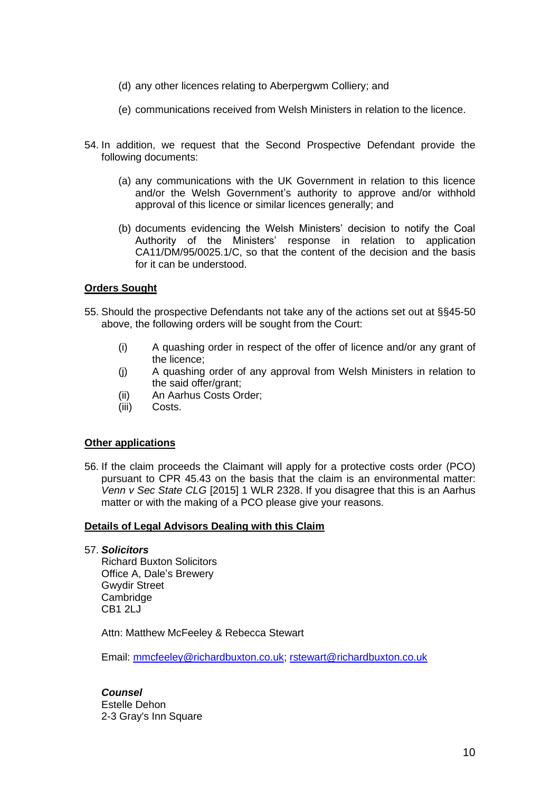- (d) any other licences relating to Aberpergwm Colliery; and
- (e) communications received from Welsh Ministers in relation to the licence.
- 54. In addition, we request that the Second Prospective Defendant provide the following documents:
	- (a) any communications with the UK Government in relation to this licence and/or the Welsh Government's authority to approve and/or withhold approval of this licence or similar licences generally; and
	- (b) documents evidencing the Welsh Ministers' decision to notify the Coal Authority of the Ministers' response in relation to application CA11/DM/95/0025.1/C, so that the content of the decision and the basis for it can be understood.

## **Orders Sought**

- 55. Should the prospective Defendants not take any of the actions set out at §§45-50 above, the following orders will be sought from the Court:
	- (i) A quashing order in respect of the offer of licence and/or any grant of the licence;
	- (j) A quashing order of any approval from Welsh Ministers in relation to the said offer/grant;
	- (ii) An Aarhus Costs Order;
	- (iii) Costs.

#### **Other applications**

56. If the claim proceeds the Claimant will apply for a protective costs order (PCO) pursuant to CPR 45.43 on the basis that the claim is an environmental matter: *Venn v Sec State CLG* [2015] 1 WLR 2328. If you disagree that this is an Aarhus matter or with the making of a PCO please give your reasons.

#### **Details of Legal Advisors Dealing with this Claim**

## 57. *Solicitors*

Richard Buxton Solicitors Office A, Dale's Brewery Gwydir Street **Cambridge** CB1 2LJ

Attn: Matthew McFeeley & Rebecca Stewart

Email: [mmcfeeley@richardbuxton.co.uk;](mailto:mmcfeeley@richardbuxton.co.uk) [rstewart@richardbuxton.co.uk](mailto:rstewart@richardbuxton.co.uk)

*Counsel* Estelle Dehon 2-3 Gray's Inn Square